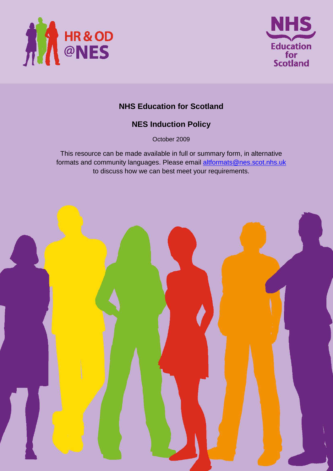



# **NHS Education for Scotland**

# **NES Induction Policy**

October 2009

This resource can be made available in full or summary form, in alternative formats and community languages. Please email altformats@nes.scot.nhs.uk to discuss how we can best meet your requirements.

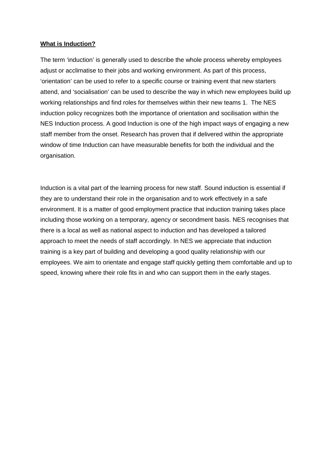#### **What is Induction?**

The term 'induction' is generally used to describe the whole process whereby employees adjust or acclimatise to their jobs and working environment. As part of this process, 'orientation' can be used to refer to a specific course or training event that new starters attend, and 'socialisation' can be used to describe the way in which new employees build up working relationships and find roles for themselves within their new teams 1. The NES induction policy recognizes both the importance of orientation and socilisation within the NES Induction process. A good Induction is one of the high impact ways of engaging a new staff member from the onset. Research has proven that if delivered within the appropriate window of time Induction can have measurable benefits for both the individual and the organisation.

Induction is a vital part of the learning process for new staff. Sound induction is essential if they are to understand their role in the organisation and to work effectively in a safe environment. It is a matter of good employment practice that induction training takes place including those working on a temporary, agency or secondment basis. NES recognises that there is a local as well as national aspect to induction and has developed a tailored approach to meet the needs of staff accordingly. In NES we appreciate that induction training is a key part of building and developing a good quality relationship with our employees. We aim to orientate and engage staff quickly getting them comfortable and up to speed, knowing where their role fits in and who can support them in the early stages.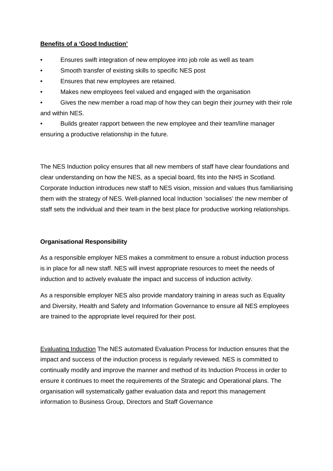## **Benefits of a 'Good Induction'**

- Ensures swift integration of new employee into job role as well as team
- Smooth transfer of existing skills to specific NES post
- Ensures that new employees are retained.
- Makes new employees feel valued and engaged with the organisation

• Gives the new member a road map of how they can begin their journey with their role and within NES.

• Builds greater rapport between the new employee and their team/line manager ensuring a productive relationship in the future.

The NES Induction policy ensures that all new members of staff have clear foundations and clear understanding on how the NES, as a special board, fits into the NHS in Scotland. Corporate Induction introduces new staff to NES vision, mission and values thus familiarising them with the strategy of NES. Well-planned local Induction 'socialises' the new member of staff sets the individual and their team in the best place for productive working relationships.

## **Organisational Responsibility**

As a responsible employer NES makes a commitment to ensure a robust induction process is in place for all new staff. NES will invest appropriate resources to meet the needs of induction and to actively evaluate the impact and success of induction activity.

As a responsible employer NES also provide mandatory training in areas such as Equality and Diversity, Health and Safety and Information Governance to ensure all NES employees are trained to the appropriate level required for their post.

Evaluating Induction The NES automated Evaluation Process for Induction ensures that the impact and success of the induction process is regularly reviewed. NES is committed to continually modify and improve the manner and method of its Induction Process in order to ensure it continues to meet the requirements of the Strategic and Operational plans. The organisation will systematically gather evaluation data and report this management information to Business Group, Directors and Staff Governance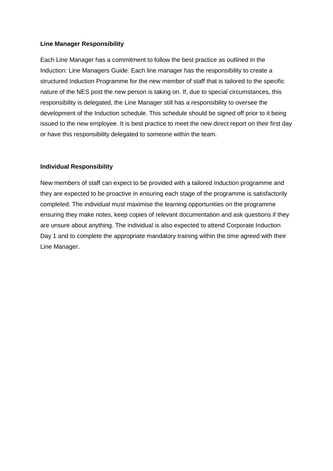### **Line Manager Responsibility**

Each Line Manager has a commitment to follow the best practice as outlined in the Induction: Line Managers Guide. Each line manager has the responsibility to create a structured Induction Programme for the new member of staff that is tailored to the specific nature of the NES post the new person is taking on. If, due to special circumstances, this responsibility is delegated, the Line Manager still has a responsibility to oversee the development of the Induction schedule. This schedule should be signed off prior to it being issued to the new employee. It is best practice to meet the new direct report on their first day or have this responsibility delegated to someone within the team.

#### **Individual Responsibility**

New members of staff can expect to be provided with a tailored Induction programme and they are expected to be proactive in ensuring each stage of the programme is satisfactorily completed. The individual must maximise the learning opportunities on the programme ensuring they make notes, keep copies of relevant documentation and ask questions if they are unsure about anything. The individual is also expected to attend Corporate Induction Day 1 and to complete the appropriate mandatory training within the time agreed with their Line Manager.